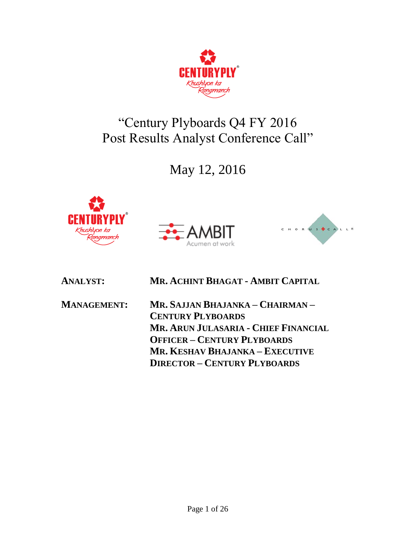

# "Century Plyboards Q4 FY 2016 Post Results Analyst Conference Call"

May 12, 2016







| <b>ANALYST:</b>    | MR. ACHINT BHAGAT - AMBIT CAPITAL    |
|--------------------|--------------------------------------|
| <b>MANAGEMENT:</b> | Mr. Sajjan Bhajanka – Chairman –     |
|                    | <b>CENTURY PLYBOARDS</b>             |
|                    | MR. ARUN JULASARIA - CHIEF FINANCIAL |
|                    | <b>OFFICER - CENTURY PLYBOARDS</b>   |
|                    | MR. KESHAV BHAJANKA – EXECUTIVE      |
|                    | <b>DIRECTOR - CENTURY PLYBOARDS</b>  |
|                    |                                      |



Page 1 of 26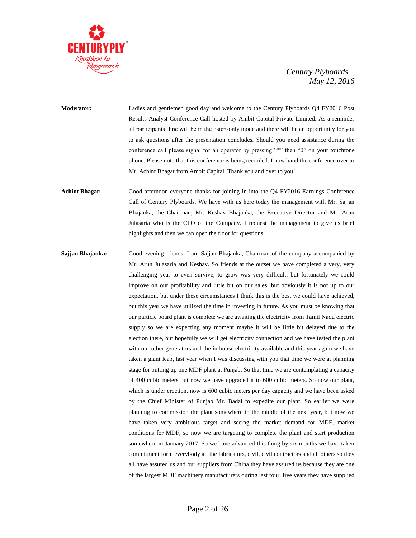

**Moderator:** Ladies and gentlemen good day and welcome to the Century Plyboards Q4 FY2016 Post Results Analyst Conference Call hosted by Ambit Capital Private Limited. As a reminder all participants' line will be in the listen-only mode and there will be an opportunity for you to ask questions after the presentation concludes. Should you need assistance during the conference call please signal for an operator by pressing "\*" then "0" on your touchtone phone. Please note that this conference is being recorded. I now hand the conference over to Mr. Achint Bhagat from Ambit Capital. Thank you and over to you!

**Achint Bhagat:** Good afternoon everyone thanks for joining in into the Q4 FY2016 Earnings Conference Call of Century Plyboards. We have with us here today the management with Mr. Sajjan Bhajanka, the Chairman, Mr. Keshav Bhajanka, the Executive Director and Mr. Arun Julasaria who is the CFO of the Company. I request the management to give us brief highlights and then we can open the floor for questions.

**Sajjan Bhajanka:** Good evening friends. I am Sajjan Bhajanka, Chairman of the company accompanied by Mr. Arun Julasaria and Keshav. So friends at the outset we have completed a very, very challenging year to even survive, to grow was very difficult, but fortunately we could improve on our profitability and little bit on our sales, but obviously it is not up to our expectation, but under these circumstances I think this is the best we could have achieved, but this year we have utilized the time in investing in future. As you must be knowing that our particle board plant is complete we are awaiting the electricity from Tamil Nadu electric supply so we are expecting any moment maybe it will be little bit delayed due to the election there, but hopefully we will get electricity connection and we have tested the plant with our other generators and the in house electricity available and this year again we have taken a giant leap, last year when I was discussing with you that time we were at planning stage for putting up one MDF plant at Punjab. So that time we are contemplating a capacity of 400 cubic meters but now we have upgraded it to 600 cubic meters. So now our plant, which is under erection, now is 600 cubic meters per day capacity and we have been asked by the Chief Minister of Punjab Mr. Badal to expedite our plant. So earlier we were planning to commission the plant somewhere in the middle of the next year, but now we have taken very ambitious target and seeing the market demand for MDF, market conditions for MDF, so now we are targeting to complete the plant and start production somewhere in January 2017. So we have advanced this thing by six months we have taken commitment form everybody all the fabricators, civil, civil contractors and all others so they all have assured us and our suppliers from China they have assured us because they are one of the largest MDF machinery manufacturers during last four, five years they have supplied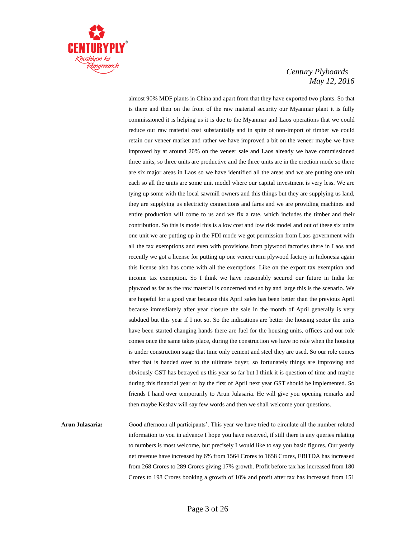

almost 90% MDF plants in China and apart from that they have exported two plants. So that is there and then on the front of the raw material security our Myanmar plant it is fully commissioned it is helping us it is due to the Myanmar and Laos operations that we could reduce our raw material cost substantially and in spite of non-import of timber we could retain our veneer market and rather we have improved a bit on the veneer maybe we have improved by at around 20% on the veneer sale and Laos already we have commissioned three units, so three units are productive and the three units are in the erection mode so there are six major areas in Laos so we have identified all the areas and we are putting one unit each so all the units are some unit model where our capital investment is very less. We are tying up some with the local sawmill owners and this things but they are supplying us land, they are supplying us electricity connections and fares and we are providing machines and entire production will come to us and we fix a rate, which includes the timber and their contribution. So this is model this is a low cost and low risk model and out of these six units one unit we are putting up in the FDI mode we got permission from Laos government with all the tax exemptions and even with provisions from plywood factories there in Laos and recently we got a license for putting up one veneer cum plywood factory in Indonesia again this license also has come with all the exemptions. Like on the export tax exemption and income tax exemption. So I think we have reasonably secured our future in India for plywood as far as the raw material is concerned and so by and large this is the scenario. We are hopeful for a good year because this April sales has been better than the previous April because immediately after year closure the sale in the month of April generally is very subdued but this year if I not so. So the indications are better the housing sector the units have been started changing hands there are fuel for the housing units, offices and our role comes once the same takes place, during the construction we have no role when the housing is under construction stage that time only cement and steel they are used. So our role comes after that is handed over to the ultimate buyer, so fortunately things are improving and obviously GST has betrayed us this year so far but I think it is question of time and maybe during this financial year or by the first of April next year GST should be implemented. So friends I hand over temporarily to Arun Julasaria. He will give you opening remarks and then maybe Keshav will say few words and then we shall welcome your questions.

**Arun Julasaria:** Good afternoon all participants'. This year we have tried to circulate all the number related information to you in advance I hope you have received, if still there is any queries relating to numbers is most welcome, but precisely I would like to say you basic figures. Our yearly net revenue have increased by 6% from 1564 Crores to 1658 Crores, EBITDA has increased from 268 Crores to 289 Crores giving 17% growth. Profit before tax has increased from 180 Crores to 198 Crores booking a growth of 10% and profit after tax has increased from 151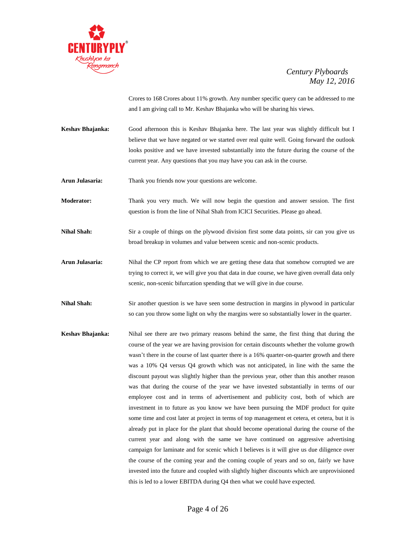

Crores to 168 Crores about 11% growth. Any number specific query can be addressed to me and I am giving call to Mr. Keshav Bhajanka who will be sharing his views.

**Keshav Bhajanka:** Good afternoon this is Keshav Bhajanka here. The last year was slightly difficult but I believe that we have negated or we started over real quite well. Going forward the outlook looks positive and we have invested substantially into the future during the course of the current year. Any questions that you may have you can ask in the course.

**Arun Julasaria:** Thank you friends now your questions are welcome.

**Moderator:** Thank you very much. We will now begin the question and answer session. The first question is from the line of Nihal Shah from ICICI Securities. Please go ahead.

**Nihal Shah:** Sir a couple of things on the plywood division first some data points, sir can you give us broad breakup in volumes and value between scenic and non-scenic products.

**Arun Julasaria:** Nihal the CP report from which we are getting these data that somehow corrupted we are trying to correct it, we will give you that data in due course, we have given overall data only scenic, non-scenic bifurcation spending that we will give in due course.

**Nihal Shah:** Sir another question is we have seen some destruction in margins in plywood in particular so can you throw some light on why the margins were so substantially lower in the quarter.

**Keshav Bhajanka:** Nihal see there are two primary reasons behind the same, the first thing that during the course of the year we are having provision for certain discounts whether the volume growth wasn't there in the course of last quarter there is a 16% quarter-on-quarter growth and there was a 10% Q4 versus Q4 growth which was not anticipated, in line with the same the discount payout was slightly higher than the previous year, other than this another reason was that during the course of the year we have invested substantially in terms of our employee cost and in terms of advertisement and publicity cost, both of which are investment in to future as you know we have been pursuing the MDF product for quite some time and cost later at project in terms of top management et cetera, et cetera, but it is already put in place for the plant that should become operational during the course of the current year and along with the same we have continued on aggressive advertising campaign for laminate and for scenic which I believes is it will give us due diligence over the course of the coming year and the coming couple of years and so on, fairly we have invested into the future and coupled with slightly higher discounts which are unprovisioned this is led to a lower EBITDA during Q4 then what we could have expected.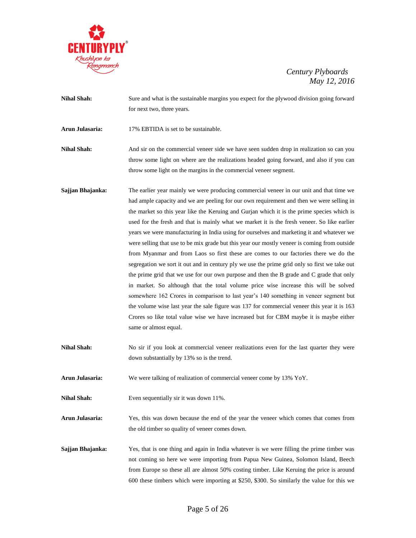

**Nihal Shah:** Sure and what is the sustainable margins you expect for the plywood division going forward for next two, three years.

**Arun Julasaria:** 17% EBTIDA is set to be sustainable.

**Nihal Shah:** And sir on the commercial veneer side we have seen sudden drop in realization so can you throw some light on where are the realizations headed going forward, and also if you can throw some light on the margins in the commercial veneer segment.

- **Sajjan Bhajanka:** The earlier year mainly we were producing commercial veneer in our unit and that time we had ample capacity and we are peeling for our own requirement and then we were selling in the market so this year like the Keruing and Gurjan which it is the prime species which is used for the fresh and that is mainly what we market it is the fresh veneer. So like earlier years we were manufacturing in India using for ourselves and marketing it and whatever we were selling that use to be mix grade but this year our mostly veneer is coming from outside from Myanmar and from Laos so first these are comes to our factories there we do the segregation we sort it out and in century ply we use the prime grid only so first we take out the prime grid that we use for our own purpose and then the B grade and C grade that only in market. So although that the total volume price wise increase this will be solved somewhere 162 Crores in comparison to last year's 140 something in veneer segment but the volume wise last year the sale figure was 137 for commercial veneer this year it is 163 Crores so like total value wise we have increased but for CBM maybe it is maybe either same or almost equal.
- Nihal Shah: No sir if you look at commercial veneer realizations even for the last quarter they were down substantially by 13% so is the trend.
- **Arun Julasaria:** We were talking of realization of commercial veneer come by 13% YoY.
- **Nihal Shah:** Even sequentially sir it was down 11%.
- **Arun Julasaria:** Yes, this was down because the end of the year the veneer which comes that comes from the old timber so quality of veneer comes down.
- **Sajjan Bhajanka:** Yes, that is one thing and again in India whatever is we were filling the prime timber was not coming so here we were importing from Papua New Guinea, Solomon Island, Beech from Europe so these all are almost 50% costing timber. Like Keruing the price is around 600 these timbers which were importing at \$250, \$300. So similarly the value for this we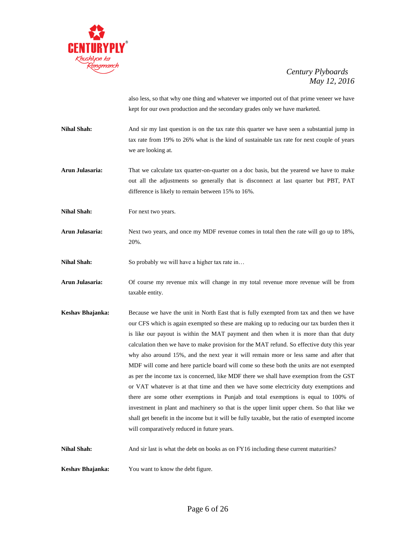

also less, so that why one thing and whatever we imported out of that prime veneer we have kept for our own production and the secondary grades only we have marketed.

- **Nihal Shah:** And sir my last question is on the tax rate this quarter we have seen a substantial jump in tax rate from 19% to 26% what is the kind of sustainable tax rate for next couple of years we are looking at.
- **Arun Julasaria:** That we calculate tax quarter-on-quarter on a doc basis, but the yearend we have to make out all the adjustments so generally that is disconnect at last quarter but PBT, PAT difference is likely to remain between 15% to 16%.
- **Nihal Shah:** For next two years.
- **Arun Julasaria:** Next two years, and once my MDF revenue comes in total then the rate will go up to 18%, 20%.
- **Nihal Shah:** So probably we will have a higher tax rate in...
- **Arun Julasaria:** Of course my revenue mix will change in my total revenue more revenue will be from taxable entity.
- **Keshav Bhajanka:** Because we have the unit in North East that is fully exempted from tax and then we have our CFS which is again exempted so these are making up to reducing our tax burden then it is like our payout is within the MAT payment and then when it is more than that duty calculation then we have to make provision for the MAT refund. So effective duty this year why also around 15%, and the next year it will remain more or less same and after that MDF will come and here particle board will come so these both the units are not exempted as per the income tax is concerned, like MDF there we shall have exemption from the GST or VAT whatever is at that time and then we have some electricity duty exemptions and there are some other exemptions in Punjab and total exemptions is equal to 100% of investment in plant and machinery so that is the upper limit upper chem. So that like we shall get benefit in the income but it will be fully taxable, but the ratio of exempted income will comparatively reduced in future years.
- **Nihal Shah:** And sir last is what the debt on books as on FY16 including these current maturities?

**Keshav Bhajanka:** You want to know the debt figure.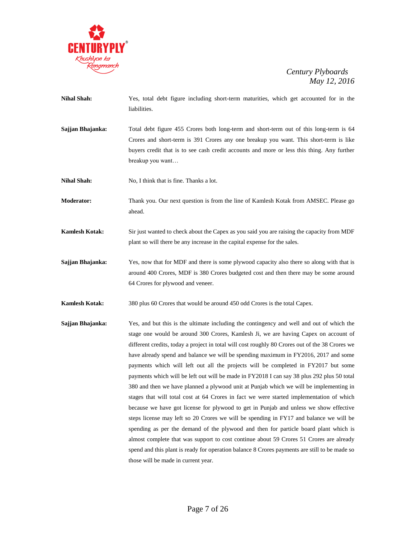

- **Nihal Shah:** Yes, total debt figure including short-term maturities, which get accounted for in the liabilities.
- **Sajjan Bhajanka:** Total debt figure 455 Crores both long-term and short-term out of this long-term is 64 Crores and short-term is 391 Crores any one breakup you want. This short-term is like buyers credit that is to see cash credit accounts and more or less this thing. Any further breakup you want…
- **Nihal Shah:** No, I think that is fine. Thanks a lot.
- **Moderator:** Thank you. Our next question is from the line of Kamlesh Kotak from AMSEC. Please go ahead.
- **Kamlesh Kotak:** Sir just wanted to check about the Capex as you said you are raising the capacity from MDF plant so will there be any increase in the capital expense for the sales.
- **Sajjan Bhajanka:** Yes, now that for MDF and there is some plywood capacity also there so along with that is around 400 Crores, MDF is 380 Crores budgeted cost and then there may be some around 64 Crores for plywood and veneer.
- **Kamlesh Kotak:** 380 plus 60 Crores that would be around 450 odd Crores is the total Capex.
- **Sajjan Bhajanka:** Yes, and but this is the ultimate including the contingency and well and out of which the stage one would be around 300 Crores, Kamlesh Ji, we are having Capex on account of different credits, today a project in total will cost roughly 80 Crores out of the 38 Crores we have already spend and balance we will be spending maximum in FY2016, 2017 and some payments which will left out all the projects will be completed in FY2017 but some payments which will be left out will be made in FY2018 I can say 38 plus 292 plus 50 total 380 and then we have planned a plywood unit at Punjab which we will be implementing in stages that will total cost at 64 Crores in fact we were started implementation of which because we have got license for plywood to get in Punjab and unless we show effective steps license may left so 20 Crores we will be spending in FY17 and balance we will be spending as per the demand of the plywood and then for particle board plant which is almost complete that was support to cost continue about 59 Crores 51 Crores are already spend and this plant is ready for operation balance 8 Crores payments are still to be made so those will be made in current year.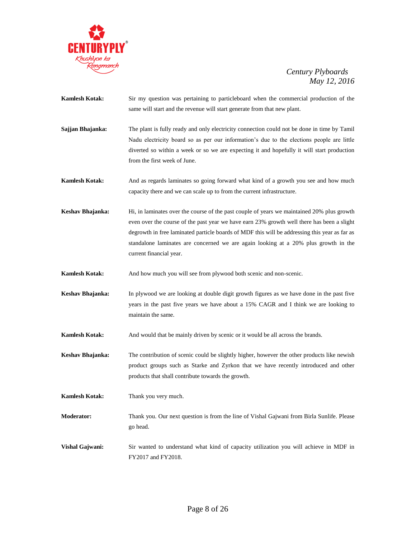

- **Kamlesh Kotak:** Sir my question was pertaining to particleboard when the commercial production of the same will start and the revenue will start generate from that new plant.
- **Sajjan Bhajanka:** The plant is fully ready and only electricity connection could not be done in time by Tamil Nadu electricity board so as per our information's due to the elections people are little diverted so within a week or so we are expecting it and hopefully it will start production from the first week of June.
- **Kamlesh Kotak:** And as regards laminates so going forward what kind of a growth you see and how much capacity there and we can scale up to from the current infrastructure.
- **Keshav Bhajanka:** Hi, in laminates over the course of the past couple of years we maintained 20% plus growth even over the course of the past year we have earn 23% growth well there has been a slight degrowth in free laminated particle boards of MDF this will be addressing this year as far as standalone laminates are concerned we are again looking at a 20% plus growth in the current financial year.

**Kamlesh Kotak:** And how much you will see from plywood both scenic and non-scenic.

- **Keshav Bhajanka:** In plywood we are looking at double digit growth figures as we have done in the past five years in the past five years we have about a 15% CAGR and I think we are looking to maintain the same.
- **Kamlesh Kotak:** And would that be mainly driven by scenic or it would be all across the brands.
- Keshav Bhajanka: The contribution of scenic could be slightly higher, however the other products like newish product groups such as Starke and Zyrkon that we have recently introduced and other products that shall contribute towards the growth.
- **Kamlesh Kotak:** Thank you very much.
- **Moderator:** Thank you. Our next question is from the line of Vishal Gajwani from Birla Sunlife. Please go head.
- **Vishal Gajwani:** Sir wanted to understand what kind of capacity utilization you will achieve in MDF in FY2017 and FY2018.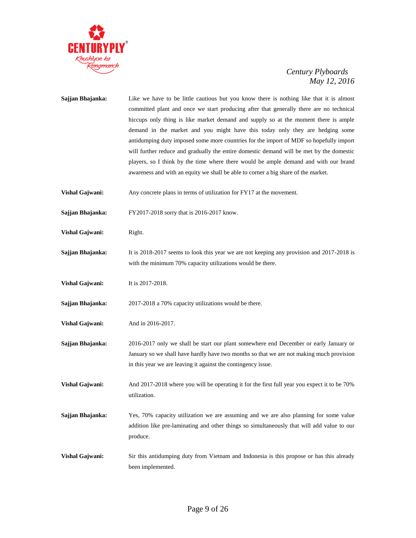

**Sajjan Bhajanka:** Like we have to be little cautious but you know there is nothing like that it is almost committed plant and once we start producing after that generally there are no technical hiccups only thing is like market demand and supply so at the moment there is ample demand in the market and you might have this today only they are hedging some antidumping duty imposed some more countries for the import of MDF so hopefully import will further reduce and gradually the entire domestic demand will be met by the domestic players, so I think by the time where there would be ample demand and with our brand awareness and with an equity we shall be able to corner a big share of the market. **Vishal Gajwani:** Any concrete plans in terms of utilization for FY17 at the movement. **Sajjan Bhajanka:** FY2017-2018 sorry that is 2016-2017 know. **Vishal Gajwani:** Right. **Sajjan Bhajanka:** It is 2018-2017 seems to look this year we are not keeping any provision and 2017-2018 is with the minimum 70% capacity utilizations would be there. **Vishal Gajwani:** It is 2017-2018. **Sajjan Bhajanka:** 2017-2018 a 70% capacity utilizations would be there. **Vishal Gajwani:** And in 2016-2017. **Sajjan Bhajanka:** 2016-2017 only we shall be start our plant somewhere end December or early January or January so we shall have hardly have two months so that we are not making much provision in this year we are leaving it against the contingency issue. **Vishal Gajwani:** And 2017-2018 where you will be operating it for the first full year you expect it to be 70% utilization. **Sajjan Bhajanka:** Yes, 70% capacity utilization we are assuming and we are also planning for some value addition like pre-laminating and other things so simultaneously that will add value to our produce. **Vishal Gajwani:** Sir this antidumping duty from Vietnam and Indonesia is this propose or has this already been implemented.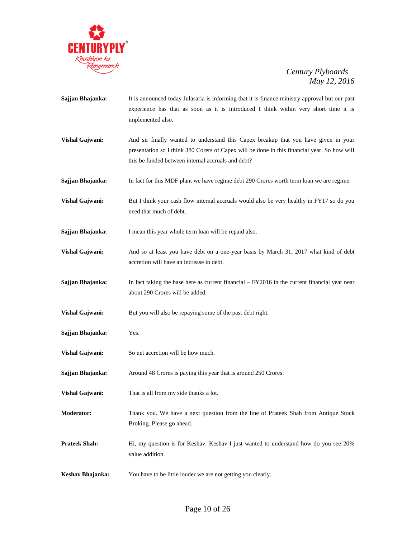

- **Sajjan Bhajanka:** It is announced today Julasaria is informing that it is finance ministry approval but our past experience has that as soon as it is introduced I think within very short time it is implemented also.
- **Vishal Gajwani:** And sir finally wanted to understand this Capex breakup that you have given in your presentation so I think 380 Corers of Capex will be done in this financial year. So how will this be funded between internal accruals and debt?
- **Sajjan Bhajanka:** In fact for this MDF plant we have regime debt 290 Crores worth term loan we are regime.
- **Vishal Gajwani:** But I think your cash flow internal accruals would also be very healthy in FY17 so do you need that much of debt.
- **Sajjan Bhajanka:** I mean this year whole term loan will be repaid also.
- **Vishal Gajwani:** And so at least you have debt on a one-year basis by March 31, 2017 what kind of debt accretion will have an increase in debt.
- **Sajjan Bhajanka:** In fact taking the base here as current financial FY2016 in the current financial year near about 290 Crores will be added.
- **Vishal Gajwani:** But you will also be repaying some of the past debt right.
- **Sajjan Bhajanka:** Yes.
- **Vishal Gajwani:** So net accretion will be how much.
- **Sajjan Bhajanka:** Around 48 Crores is paying this year that is around 250 Crores.
- **Vishal Gajwani:** That is all from my side thanks a lot.
- **Moderator:** Thank you. We have a next question from the line of Prateek Shah from Antique Stock Broking. Please go ahead.
- **Prateek Shah:** Hi, my question is for Keshav. Keshav I just wanted to understand how do you see 20% value addition.
- **Keshav Bhajanka:** You have to be little louder we are not getting you clearly.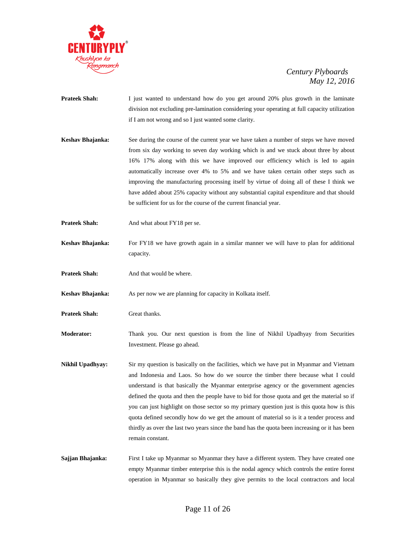

- **Prateek Shah:** I just wanted to understand how do you get around 20% plus growth in the laminate division not excluding pre-lamination considering your operating at full capacity utilization if I am not wrong and so I just wanted some clarity.
- **Keshav Bhajanka:** See during the course of the current year we have taken a number of steps we have moved from six day working to seven day working which is and we stuck about three by about 16% 17% along with this we have improved our efficiency which is led to again automatically increase over 4% to 5% and we have taken certain other steps such as improving the manufacturing processing itself by virtue of doing all of these I think we have added about 25% capacity without any substantial capital expenditure and that should be sufficient for us for the course of the current financial year.
- **Prateek Shah:** And what about FY18 per se.
- **Keshav Bhajanka:** For FY18 we have growth again in a similar manner we will have to plan for additional capacity.
- **Prateek Shah:** And that would be where.
- **Keshav Bhajanka:** As per now we are planning for capacity in Kolkata itself.
- **Prateek Shah:** Great thanks.
- **Moderator:** Thank you. Our next question is from the line of Nikhil Upadhyay from Securities Investment. Please go ahead.
- **Nikhil Upadhyay:** Sir my question is basically on the facilities, which we have put in Myanmar and Vietnam and Indonesia and Laos. So how do we source the timber there because what I could understand is that basically the Myanmar enterprise agency or the government agencies defined the quota and then the people have to bid for those quota and get the material so if you can just highlight on those sector so my primary question just is this quota how is this quota defined secondly how do we get the amount of material so is it a tender process and thirdly as over the last two years since the band has the quota been increasing or it has been remain constant.
- Sajjan Bhajanka: First I take up Myanmar so Myanmar they have a different system. They have created one empty Myanmar timber enterprise this is the nodal agency which controls the entire forest operation in Myanmar so basically they give permits to the local contractors and local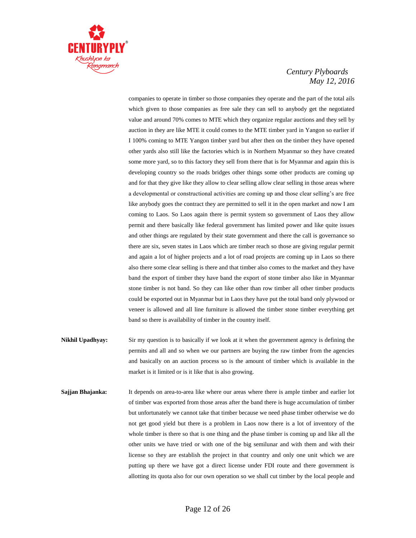

companies to operate in timber so those companies they operate and the part of the total ails which given to those companies as free sale they can sell to anybody get the negotiated value and around 70% comes to MTE which they organize regular auctions and they sell by auction in they are like MTE it could comes to the MTE timber yard in Yangon so earlier if I 100% coming to MTE Yangon timber yard but after then on the timber they have opened other yards also still like the factories which is in Northern Myanmar so they have created some more yard, so to this factory they sell from there that is for Myanmar and again this is developing country so the roads bridges other things some other products are coming up and for that they give like they allow to clear selling allow clear selling in those areas where a developmental or constructional activities are coming up and those clear selling's are free like anybody goes the contract they are permitted to sell it in the open market and now I am coming to Laos. So Laos again there is permit system so government of Laos they allow permit and there basically like federal government has limited power and like quite issues and other things are regulated by their state government and there the call is governance so there are six, seven states in Laos which are timber reach so those are giving regular permit and again a lot of higher projects and a lot of road projects are coming up in Laos so there also there some clear selling is there and that timber also comes to the market and they have band the export of timber they have band the export of stone timber also like in Myanmar stone timber is not band. So they can like other than row timber all other timber products could be exported out in Myanmar but in Laos they have put the total band only plywood or veneer is allowed and all line furniture is allowed the timber stone timber everything get band so there is availability of timber in the country itself.

- **Nikhil Upadhyay:** Sir my question is to basically if we look at it when the government agency is defining the permits and all and so when we our partners are buying the raw timber from the agencies and basically on an auction process so is the amount of timber which is available in the market is it limited or is it like that is also growing.
- **Sajjan Bhajanka:** It depends on area-to-area like where our areas where there is ample timber and earlier lot of timber was exported from those areas after the band there is huge accumulation of timber but unfortunately we cannot take that timber because we need phase timber otherwise we do not get good yield but there is a problem in Laos now there is a lot of inventory of the whole timber is there so that is one thing and the phase timber is coming up and like all the other units we have tried or with one of the big semilunar and with them and with their license so they are establish the project in that country and only one unit which we are putting up there we have got a direct license under FDI route and there government is allotting its quota also for our own operation so we shall cut timber by the local people and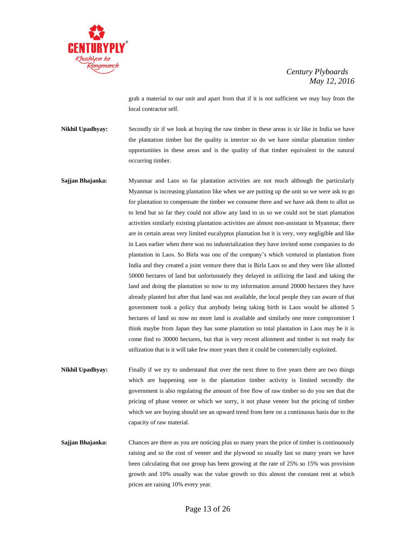

grab a material to our unit and apart from that if it is not sufficient we may buy from the local contractor self.

**Nikhil Upadhyay:** Secondly sir if we look at buying the raw timber in these areas is sir like in India we have the plantation timber but the quality is interior so do we have similar plantation timber opportunities in these areas and is the quality of that timber equivalent to the natural occurring timber.

- **Sajjan Bhajanka:** Myanmar and Laos so far plantation activities are not much although the particularly Myanmar is increasing plantation like when we are putting up the unit so we were ask to go for plantation to compensate the timber we consume there and we have ask them to allot us to lend but so far they could not allow any land to us so we could not be start plantation activities similarly existing plantation activities are almost non-assistant in Myanmar, there are in certain areas very limited eucalyptus plantation but it is very, very negligible and like in Laos earlier when there was no industrialization they have invited some companies to do plantation in Laos. So Birla was one of the company's which ventured in plantation from India and they created a joint venture there that is Birla Laos so and they were like allotted 50000 hectares of land but unfortunately they delayed in utilizing the land and taking the land and doing the plantation so now to my information around 20000 hectares they have already planted but after that land was not available, the local people they can aware of that government took a policy that anybody being taking birth in Laos would be allotted 5 hectares of land so now no more land is available and similarly one more compromiser I think maybe from Japan they has some plantation so total plantation in Laos may be it is come find to 30000 hectares, but that is very recent allotment and timber is not ready for utilization that is it will take few more years then it could be commercially exploited.
- **Nikhil Upadhyay:** Finally if we try to understand that over the next three to five years there are two things which are happening one is the plantation timber activity is limited secondly the government is also regulating the amount of free flow of raw timber so do you see that the pricing of phase veneer or which we sorry, it not phase veneer but the pricing of timber which we are buying should see an upward trend from here on a continuous basis due to the capacity of raw material.
- **Sajjan Bhajanka:** Chances are there as you are noticing plus so many years the price of timber is continuously raising and so the cost of veneer and the plywood so usually last so many years we have been calculating that our group has been growing at the rate of 25% so 15% was provision growth and 10% usually was the value growth so this almost the constant rent at which prices are raising 10% every year.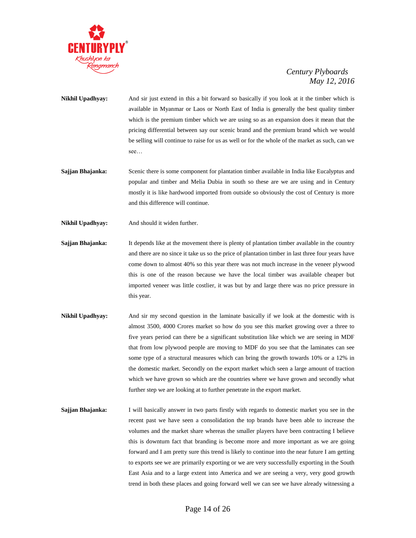

- **Nikhil Upadhyay:** And sir just extend in this a bit forward so basically if you look at it the timber which is available in Myanmar or Laos or North East of India is generally the best quality timber which is the premium timber which we are using so as an expansion does it mean that the pricing differential between say our scenic brand and the premium brand which we would be selling will continue to raise for us as well or for the whole of the market as such, can we see…
- **Sajjan Bhajanka:** Scenic there is some component for plantation timber available in India like Eucalyptus and popular and timber and Melia Dubia in south so these are we are using and in Century mostly it is like hardwood imported from outside so obviously the cost of Century is more and this difference will continue.
- **Nikhil Upadhyay:** And should it widen further.
- **Sajjan Bhajanka:** It depends like at the movement there is plenty of plantation timber available in the country and there are no since it take us so the price of plantation timber in last three four years have come down to almost 40% so this year there was not much increase in the veneer plywood this is one of the reason because we have the local timber was available cheaper but imported veneer was little costlier, it was but by and large there was no price pressure in this year.
- **Nikhil Upadhyay:** And sir my second question in the laminate basically if we look at the domestic with is almost 3500, 4000 Crores market so how do you see this market growing over a three to five years period can there be a significant substitution like which we are seeing in MDF that from low plywood people are moving to MDF do you see that the laminates can see some type of a structural measures which can bring the growth towards 10% or a 12% in the domestic market. Secondly on the export market which seen a large amount of traction which we have grown so which are the countries where we have grown and secondly what further step we are looking at to further penetrate in the export market.
- **Sajjan Bhajanka:** I will basically answer in two parts firstly with regards to domestic market you see in the recent past we have seen a consolidation the top brands have been able to increase the volumes and the market share whereas the smaller players have been contracting I believe this is downturn fact that branding is become more and more important as we are going forward and I am pretty sure this trend is likely to continue into the near future I am getting to exports see we are primarily exporting or we are very successfully exporting in the South East Asia and to a large extent into America and we are seeing a very, very good growth trend in both these places and going forward well we can see we have already witnessing a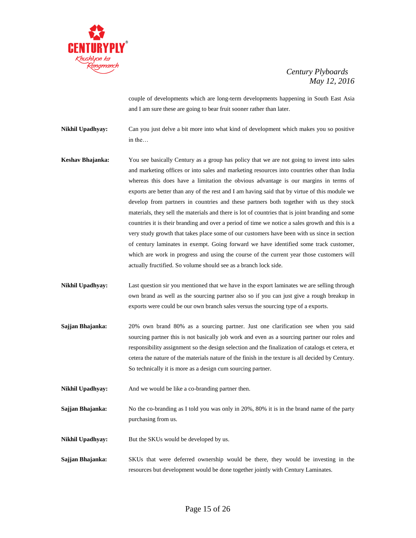

couple of developments which are long-term developments happening in South East Asia and I am sure these are going to bear fruit sooner rather than later.

**Nikhil Upadhyay:** Can you just delve a bit more into what kind of development which makes you so positive in the…

- **Keshav Bhajanka:** You see basically Century as a group has policy that we are not going to invest into sales and marketing offices or into sales and marketing resources into countries other than India whereas this does have a limitation the obvious advantage is our margins in terms of exports are better than any of the rest and I am having said that by virtue of this module we develop from partners in countries and these partners both together with us they stock materials, they sell the materials and there is lot of countries that is joint branding and some countries it is their branding and over a period of time we notice a sales growth and this is a very study growth that takes place some of our customers have been with us since in section of century laminates in exempt. Going forward we have identified some track customer, which are work in progress and using the course of the current year those customers will actually fructified. So volume should see as a branch lock side.
- **Nikhil Upadhyay:** Last question sir you mentioned that we have in the export laminates we are selling through own brand as well as the sourcing partner also so if you can just give a rough breakup in exports were could be our own branch sales versus the sourcing type of a exports.
- **Sajjan Bhajanka:** 20% own brand 80% as a sourcing partner. Just one clarification see when you said sourcing partner this is not basically job work and even as a sourcing partner our roles and responsibility assignment so the design selection and the finalization of catalogs et cetera, et cetera the nature of the materials nature of the finish in the texture is all decided by Century. So technically it is more as a design cum sourcing partner.
- **Nikhil Upadhyay:** And we would be like a co-branding partner then.
- **Sajjan Bhajanka:** No the co-branding as I told you was only in 20%, 80% it is in the brand name of the party purchasing from us.
- **Nikhil Upadhyay:** But the SKUs would be developed by us.
- **Sajjan Bhajanka:** SKUs that were deferred ownership would be there, they would be investing in the resources but development would be done together jointly with Century Laminates.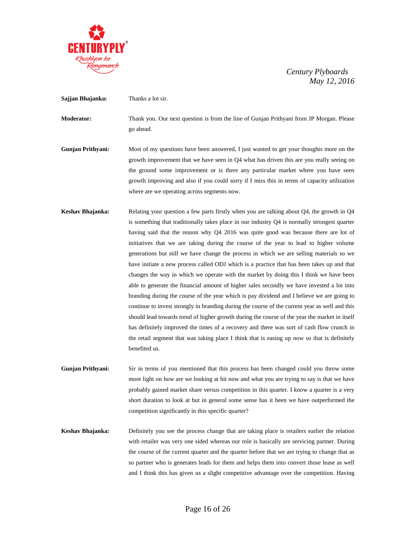

**Sajjan Bhajanka:** Thanks a lot sir.

**Moderator:** Thank you. Our next question is from the line of Gunjan Prithyani from JP Morgan. Please go ahead.

**Gunjan Prithyani:** Most of my questions have been answered, I just wanted to get your thoughts more on the growth improvement that we have seen in Q4 what has driven this are you really seeing on the ground some improvement or is there any particular market where you have seen growth improving and also if you could sorry if I miss this in terms of capacity utilization where are we operating across segments now.

**Keshav Bhajanka:** Relating your question a few parts firstly when you are talking about Q4, the growth in Q4 is something that traditionally takes place in our industry Q4 is normally strongest quarter having said that the reason why Q4 2016 was quite good was because there are lot of initiatives that we are taking during the course of the year to lead to higher volume generations but still we have change the process in which we are selling materials so we have initiate a new process called ODJ which is a practice that has been takes up and that changes the way in which we operate with the market by doing this I think we have been able to generate the financial amount of higher sales secondly we have invested a lot into branding during the course of the year which is pay dividend and I believe we are going to continue to invest strongly in branding during the course of the current year as well and this should lead towards trend of higher growth during the course of the year the market in itself has definitely improved the times of a recovery and there was sort of cash flow crunch in the retail segment that was taking place I think that is easing up now so that is definitely benefited us.

**Gunjan Prithyani:** Sir in terms of you mentioned that this process has been changed could you throw some more light on how are we looking at hit now and what you are trying to say is that we have probably gained market share versus competition in this quarter. I know a quarter is a very short duration to look at but in general some sense has it been we have outperformed the competition significantly in this specific quarter?

**Keshav Bhajanka:** Definitely you see the process change that are taking place is retailers earlier the relation with retailer was very one sided whereas our role is basically are servicing partner. During the course of the current quarter and the quarter before that we are trying to change that as so partner who is generates leads for them and helps them into convert those lease as well and I think this has given us a slight competitive advantage over the competition. Having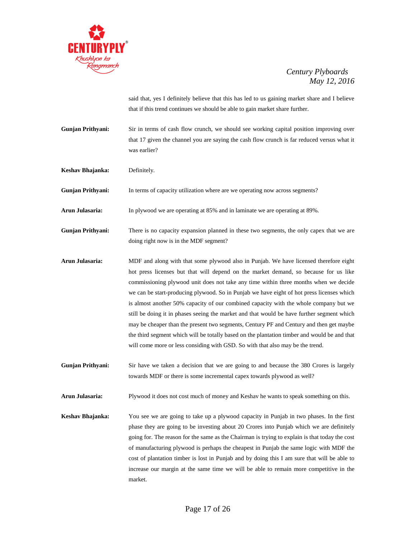

said that, yes I definitely believe that this has led to us gaining market share and I believe that if this trend continues we should be able to gain market share further.

- **Gunjan Prithyani:** Sir in terms of cash flow crunch, we should see working capital position improving over that 17 given the channel you are saying the cash flow crunch is far reduced versus what it was earlier?
- **Keshav Bhajanka:** Definitely.
- **Gunjan Prithyani:** In terms of capacity utilization where are we operating now across segments?
- **Arun Julasaria:** In plywood we are operating at 85% and in laminate we are operating at 89%.
- **Gunjan Prithyani:** There is no capacity expansion planned in these two segments, the only capex that we are doing right now is in the MDF segment?
- **Arun Julasaria:** MDF and along with that some plywood also in Punjab. We have licensed therefore eight hot press licenses but that will depend on the market demand, so because for us like commissioning plywood unit does not take any time within three months when we decide we can be start-producing plywood. So in Punjab we have eight of hot press licenses which is almost another 50% capacity of our combined capacity with the whole company but we still be doing it in phases seeing the market and that would be have further segment which may be cheaper than the present two segments, Century PF and Century and then get maybe the third segment which will be totally based on the plantation timber and would be and that will come more or less considing with GSD. So with that also may be the trend.
- **Gunjan Prithyani:** Sir have we taken a decision that we are going to and because the 380 Crores is largely towards MDF or there is some incremental capex towards plywood as well?
- **Arun Julasaria:** Plywood it does not cost much of money and Keshav he wants to speak something on this.
- **Keshav Bhajanka:** You see we are going to take up a plywood capacity in Punjab in two phases. In the first phase they are going to be investing about 20 Crores into Punjab which we are definitely going for. The reason for the same as the Chairman is trying to explain is that today the cost of manufacturing plywood is perhaps the cheapest in Punjab the same logic with MDF the cost of plantation timber is lost in Punjab and by doing this I am sure that will be able to increase our margin at the same time we will be able to remain more competitive in the market.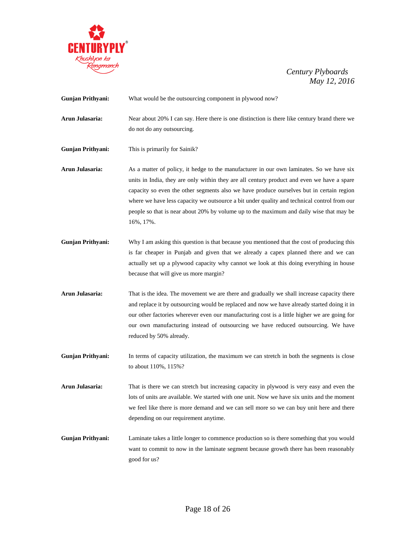

| <b>Gunjan Prithyani:</b> | What would be the outsourcing component in plywood now?                                                                                                                                                                                                                                                                                                                                                                                                                                   |  |  |
|--------------------------|-------------------------------------------------------------------------------------------------------------------------------------------------------------------------------------------------------------------------------------------------------------------------------------------------------------------------------------------------------------------------------------------------------------------------------------------------------------------------------------------|--|--|
| Arun Julasaria:          | Near about 20% I can say. Here there is one distinction is there like century brand there we<br>do not do any outsourcing.                                                                                                                                                                                                                                                                                                                                                                |  |  |
| <b>Gunjan Prithyani:</b> | This is primarily for Sainik?                                                                                                                                                                                                                                                                                                                                                                                                                                                             |  |  |
| Arun Julasaria:          | As a matter of policy, it hedge to the manufacturer in our own laminates. So we have six<br>units in India, they are only within they are all century product and even we have a spare<br>capacity so even the other segments also we have produce ourselves but in certain region<br>where we have less capacity we outsource a bit under quality and technical control from our<br>people so that is near about 20% by volume up to the maximum and daily wise that may be<br>16%, 17%. |  |  |
| <b>Gunjan Prithyani:</b> | Why I am asking this question is that because you mentioned that the cost of producing this<br>is far cheaper in Punjab and given that we already a capex planned there and we can<br>actually set up a plywood capacity why cannot we look at this doing everything in house<br>because that will give us more margin?                                                                                                                                                                   |  |  |
| Arun Julasaria:          | That is the idea. The movement we are there and gradually we shall increase capacity there<br>and replace it by outsourcing would be replaced and now we have already started doing it in<br>our other factories wherever even our manufacturing cost is a little higher we are going for<br>our own manufacturing instead of outsourcing we have reduced outsourcing. We have<br>reduced by 50% already.                                                                                 |  |  |
| <b>Gunjan Prithyani:</b> | In terms of capacity utilization, the maximum we can stretch in both the segments is close<br>to about 110%, 115%?                                                                                                                                                                                                                                                                                                                                                                        |  |  |
| Arun Julasaria:          | That is there we can stretch but increasing capacity in plywood is very easy and even the<br>lots of units are available. We started with one unit. Now we have six units and the moment<br>we feel like there is more demand and we can sell more so we can buy unit here and there<br>depending on our requirement anytime.                                                                                                                                                             |  |  |
| <b>Gunjan Prithyani:</b> | Laminate takes a little longer to commence production so is there something that you would<br>want to commit to now in the laminate segment because growth there has been reasonably<br>good for us?                                                                                                                                                                                                                                                                                      |  |  |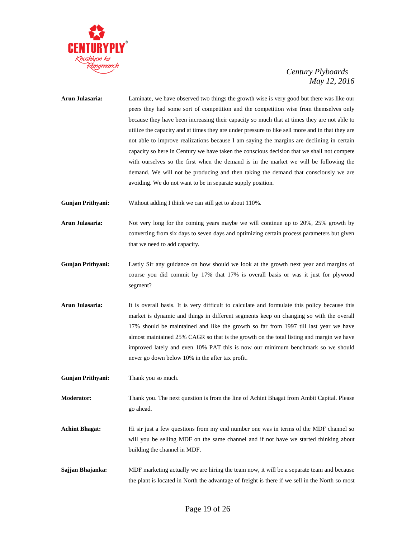

# **Arun Julasaria:** Laminate, we have observed two things the growth wise is very good but there was like our peers they had some sort of competition and the competition wise from themselves only because they have been increasing their capacity so much that at times they are not able to utilize the capacity and at times they are under pressure to like sell more and in that they are not able to improve realizations because I am saying the margins are declining in certain capacity so here in Century we have taken the conscious decision that we shall not compete with ourselves so the first when the demand is in the market we will be following the demand. We will not be producing and then taking the demand that consciously we are avoiding. We do not want to be in separate supply position.

**Gunjan Prithyani:** Without adding I think we can still get to about 110%.

- **Arun Julasaria:** Not very long for the coming years maybe we will continue up to 20%, 25% growth by converting from six days to seven days and optimizing certain process parameters but given that we need to add capacity.
- **Gunjan Prithyani:** Lastly Sir any guidance on how should we look at the growth next year and margins of course you did commit by 17% that 17% is overall basis or was it just for plywood segment?
- **Arun Julasaria:** It is overall basis. It is very difficult to calculate and formulate this policy because this market is dynamic and things in different segments keep on changing so with the overall 17% should be maintained and like the growth so far from 1997 till last year we have almost maintained 25% CAGR so that is the growth on the total listing and margin we have improved lately and even 10% PAT this is now our minimum benchmark so we should never go down below 10% in the after tax profit.

**Gunjan Prithyani:** Thank you so much.

- **Moderator:** Thank you. The next question is from the line of Achint Bhagat from Ambit Capital. Please go ahead.
- **Achint Bhagat:** Hi sir just a few questions from my end number one was in terms of the MDF channel so will you be selling MDF on the same channel and if not have we started thinking about building the channel in MDF.
- **Sajjan Bhajanka:** MDF marketing actually we are hiring the team now, it will be a separate team and because the plant is located in North the advantage of freight is there if we sell in the North so most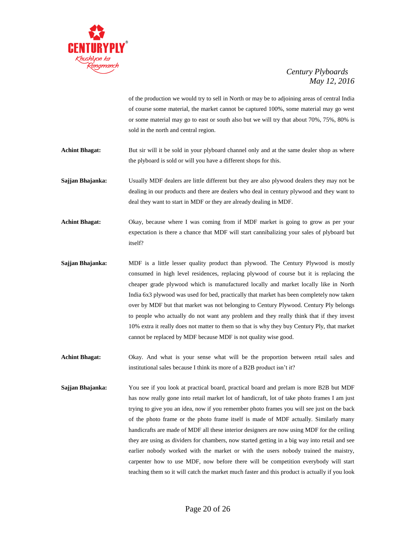

of the production we would try to sell in North or may be to adjoining areas of central India of course some material, the market cannot be captured 100%, some material may go west or some material may go to east or south also but we will try that about 70%, 75%, 80% is sold in the north and central region.

**Achint Bhagat:** But sir will it be sold in your plyboard channel only and at the same dealer shop as where the plyboard is sold or will you have a different shops for this.

**Sajjan Bhajanka:** Usually MDF dealers are little different but they are also plywood dealers they may not be dealing in our products and there are dealers who deal in century plywood and they want to deal they want to start in MDF or they are already dealing in MDF.

**Achint Bhagat:** Okay, because where I was coming from if MDF market is going to grow as per your expectation is there a chance that MDF will start cannibalizing your sales of plyboard but itself?

**Sajjan Bhajanka:** MDF is a little lesser quality product than plywood. The Century Plywood is mostly consumed in high level residences, replacing plywood of course but it is replacing the cheaper grade plywood which is manufactured locally and market locally like in North India 6x3 plywood was used for bed, practically that market has been completely now taken over by MDF but that market was not belonging to Century Plywood. Century Ply belongs to people who actually do not want any problem and they really think that if they invest 10% extra it really does not matter to them so that is why they buy Century Ply, that market cannot be replaced by MDF because MDF is not quality wise good.

**Achint Bhagat:** Okay. And what is your sense what will be the proportion between retail sales and institutional sales because I think its more of a B2B product isn't it?

**Sajjan Bhajanka:** You see if you look at practical board, practical board and prelam is more B2B but MDF has now really gone into retail market lot of handicraft, lot of take photo frames I am just trying to give you an idea, now if you remember photo frames you will see just on the back of the photo frame or the photo frame itself is made of MDF actually. Similarly many handicrafts are made of MDF all these interior designers are now using MDF for the ceiling they are using as dividers for chambers, now started getting in a big way into retail and see earlier nobody worked with the market or with the users nobody trained the maistry, carpenter how to use MDF, now before there will be competition everybody will start teaching them so it will catch the market much faster and this product is actually if you look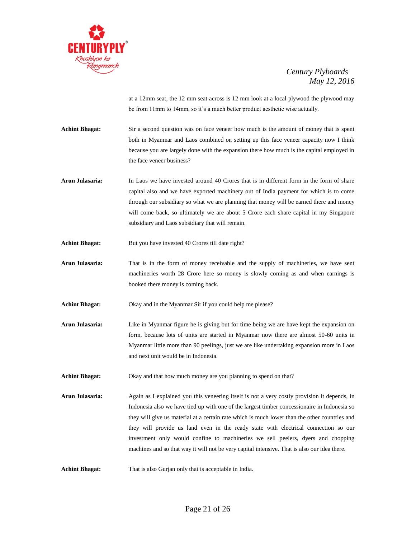

at a 12mm seat, the 12 mm seat across is 12 mm look at a local plywood the plywood may be from 11mm to 14mm, so it's a much better product aesthetic wise actually.

**Achint Bhagat:** Sir a second question was on face veneer how much is the amount of money that is spent both in Myanmar and Laos combined on setting up this face veneer capacity now I think because you are largely done with the expansion there how much is the capital employed in the face veneer business?

- **Arun Julasaria:** In Laos we have invested around 40 Crores that is in different form in the form of share capital also and we have exported machinery out of India payment for which is to come through our subsidiary so what we are planning that money will be earned there and money will come back, so ultimately we are about 5 Crore each share capital in my Singapore subsidiary and Laos subsidiary that will remain.
- Achint Bhagat: But you have invested 40 Crores till date right?
- **Arun Julasaria:** That is in the form of money receivable and the supply of machineries, we have sent machineries worth 28 Crore here so money is slowly coming as and when earnings is booked there money is coming back.
- **Achint Bhagat:** Okay and in the Myanmar Sir if you could help me please?
- **Arun Julasaria:** Like in Myanmar figure he is giving but for time being we are have kept the expansion on form, because lots of units are started in Myanmar now there are almost 50-60 units in Myanmar little more than 90 peelings, just we are like undertaking expansion more in Laos and next unit would be in Indonesia.
- **Achint Bhagat:** Okay and that how much money are you planning to spend on that?
- **Arun Julasaria:** Again as I explained you this veneering itself is not a very costly provision it depends, in Indonesia also we have tied up with one of the largest timber concessionaire in Indonesia so they will give us material at a certain rate which is much lower than the other countries and they will provide us land even in the ready state with electrical connection so our investment only would confine to machineries we sell peelers, dyers and chopping machines and so that way it will not be very capital intensive. That is also our idea there.

Achint Bhagat: That is also Gurjan only that is acceptable in India.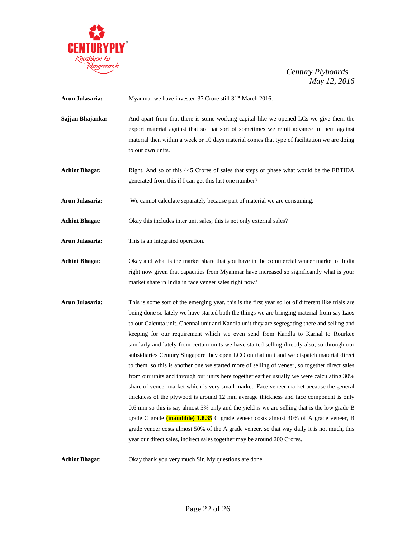

| Arun Julasaria: |  | Myanmar we have invested 37 Crore still 31 <sup>st</sup> March 2016. |
|-----------------|--|----------------------------------------------------------------------|
|                 |  |                                                                      |

- **Sajjan Bhajanka:** And apart from that there is some working capital like we opened LCs we give them the export material against that so that sort of sometimes we remit advance to them against material then within a week or 10 days material comes that type of facilitation we are doing to our own units.
- **Achint Bhagat:** Right. And so of this 445 Crores of sales that steps or phase what would be the EBTIDA generated from this if I can get this last one number?
- **Arun Julasaria:** We cannot calculate separately because part of material we are consuming.
- Achint Bhagat: Okay this includes inter unit sales; this is not only external sales?
- **Arun Julasaria:** This is an integrated operation.
- **Achint Bhagat:** Okay and what is the market share that you have in the commercial veneer market of India right now given that capacities from Myanmar have increased so significantly what is your market share in India in face veneer sales right now?
- **Arun Julasaria:** This is some sort of the emerging year, this is the first year so lot of different like trials are being done so lately we have started both the things we are bringing material from say Laos to our Calcutta unit, Chennai unit and Kandla unit they are segregating there and selling and keeping for our requirement which we even send from Kandla to Karnal to Rourkee similarly and lately from certain units we have started selling directly also, so through our subsidiaries Century Singapore they open LCO on that unit and we dispatch material direct to them, so this is another one we started more of selling of veneer, so together direct sales from our units and through our units here together earlier usually we were calculating 30% share of veneer market which is very small market. Face veneer market because the general thickness of the plywood is around 12 mm average thickness and face component is only 0.6 mm so this is say almost 5% only and the yield is we are selling that is the low grade B grade C grade **(inaudible) 1.8.35** C grade veneer costs almost 30% of A grade veneer, B grade veneer costs almost 50% of the A grade veneer, so that way daily it is not much, this year our direct sales, indirect sales together may be around 200 Crores.

**Achint Bhagat:** Okay thank you very much Sir. My questions are done.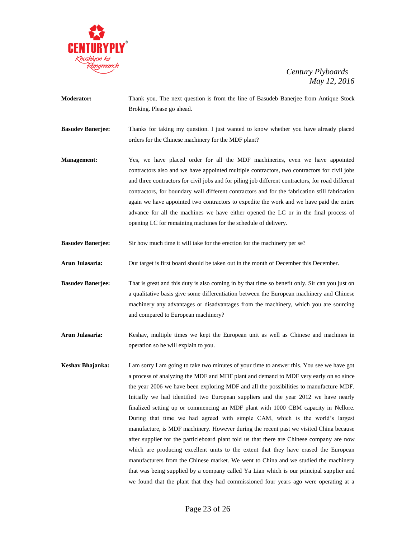

**Moderator:** Thank you. The next question is from the line of Basudeb Banerjee from Antique Stock Broking. Please go ahead.

**Basudev Banerjee:** Thanks for taking my question. I just wanted to know whether you have already placed orders for the Chinese machinery for the MDF plant?

- **Management:** Yes, we have placed order for all the MDF machineries, even we have appointed contractors also and we have appointed multiple contractors, two contractors for civil jobs and three contractors for civil jobs and for piling job different contractors, for road different contractors, for boundary wall different contractors and for the fabrication still fabrication again we have appointed two contractors to expedite the work and we have paid the entire advance for all the machines we have either opened the LC or in the final process of opening LC for remaining machines for the schedule of delivery.
- **Basudev Banerjee:** Sir how much time it will take for the erection for the machinery per se?
- **Arun Julasaria:** Our target is first board should be taken out in the month of December this December.
- **Basudev Banerjee:** That is great and this duty is also coming in by that time so benefit only. Sir can you just on a qualitative basis give some differentiation between the European machinery and Chinese machinery any advantages or disadvantages from the machinery, which you are sourcing and compared to European machinery?
- **Arun Julasaria:** Keshav, multiple times we kept the European unit as well as Chinese and machines in operation so he will explain to you.
- **Keshav Bhajanka:** I am sorry I am going to take two minutes of your time to answer this. You see we have got a process of analyzing the MDF and MDF plant and demand to MDF very early on so since the year 2006 we have been exploring MDF and all the possibilities to manufacture MDF. Initially we had identified two European suppliers and the year 2012 we have nearly finalized setting up or commencing an MDF plant with 1000 CBM capacity in Nellore. During that time we had agreed with simple CAM, which is the world's largest manufacture, is MDF machinery. However during the recent past we visited China because after supplier for the particleboard plant told us that there are Chinese company are now which are producing excellent units to the extent that they have erased the European manufacturers from the Chinese market. We went to China and we studied the machinery that was being supplied by a company called Ya Lian which is our principal supplier and we found that the plant that they had commissioned four years ago were operating at a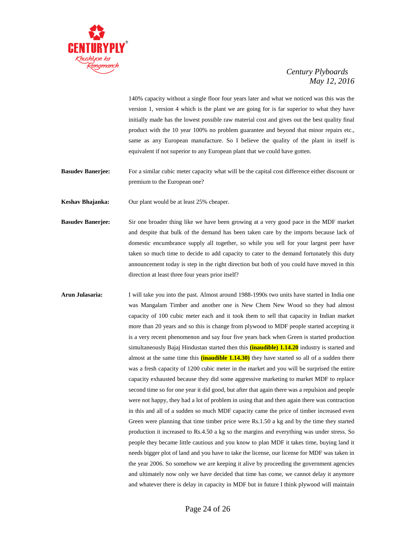

140% capacity without a single floor four years later and what we noticed was this was the version 1, version 4 which is the plant we are going for is far superior to what they have initially made has the lowest possible raw material cost and gives out the best quality final product with the 10 year 100% no problem guarantee and beyond that minor repairs etc., same as any European manufacture. So I believe the quality of the plant in itself is equivalent if not superior to any European plant that we could have gotten.

**Basudev Banerjee:** For a similar cubic meter capacity what will be the capital cost difference either discount or premium to the European one?

**Keshav Bhajanka:** Our plant would be at least 25% cheaper.

- **Basudev Banerjee:** Sir one broader thing like we have been growing at a very good pace in the MDF market and despite that bulk of the demand has been taken care by the imports because lack of domestic encumbrance supply all together, so while you sell for your largest peer have taken so much time to decide to add capacity to cater to the demand fortunately this duty announcement today is step in the right direction but both of you could have moved in this direction at least three four years prior itself?
- **Arun Julasaria:** I will take you into the past. Almost around 1988-1990s two units have started in India one was Mangalam Timber and another one is New Chem New Wood so they had almost capacity of 100 cubic meter each and it took them to sell that capacity in Indian market more than 20 years and so this is change from plywood to MDF people started accepting it is a very recent phenomenon and say four five years back when Green is started production simultaneously Bajaj Hindustan started then this **(inaudible) 1.14.20** industry is started and almost at the same time this **(inaudible 1.14.30)** they have started so all of a sudden there was a fresh capacity of 1200 cubic meter in the market and you will be surprised the entire capacity exhausted because they did some aggressive marketing to market MDF to replace second time so for one year it did good, but after that again there was a repulsion and people were not happy, they had a lot of problem in using that and then again there was contraction in this and all of a sudden so much MDF capacity came the price of timber increased even Green were planning that time timber price were Rs.1.50 a kg and by the time they started production it increased to Rs.4.50 a kg so the margins and everything was under stress. So people they became little cautious and you know to plan MDF it takes time, buying land it needs bigger plot of land and you have to take the license, our license for MDF was taken in the year 2006. So somehow we are keeping it alive by proceeding the government agencies and ultimately now only we have decided that time has come, we cannot delay it anymore and whatever there is delay in capacity in MDF but in future I think plywood will maintain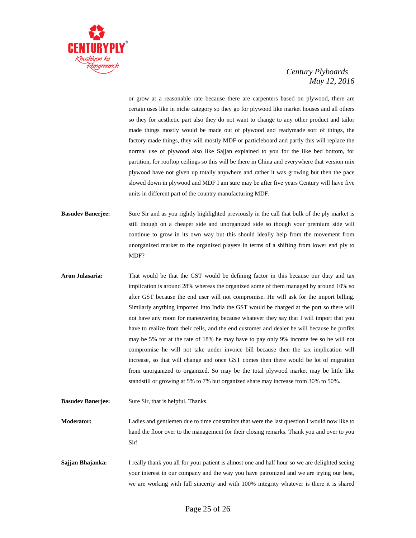

or grow at a reasonable rate because there are carpenters based on plywood, there are certain uses like in niche category so they go for plywood like market houses and all others so they for aesthetic part also they do not want to change to any other product and tailor made things mostly would be made out of plywood and readymade sort of things, the factory made things, they will mostly MDF or particleboard and partly this will replace the normal use of plywood also like Sajjan explained to you for the like bed bottom, for partition, for rooftop ceilings so this will be there in China and everywhere that version mix plywood have not given up totally anywhere and rather it was growing but then the pace slowed down in plywood and MDF I am sure may be after five years Century will have five units in different part of the country manufacturing MDF.

- **Basudev Banerjee:** Sure Sir and as you rightly highlighted previously in the call that bulk of the ply market is still though on a cheaper side and unorganized side so though your premium side will continue to grow in its own way but this should ideally help from the movement from unorganized market to the organized players in terms of a shifting from lower end ply to MDF?
- **Arun Julasaria:** That would be that the GST would be defining factor in this because our duty and tax implication is around 28% whereas the organized some of them managed by around 10% so after GST because the end user will not compromise. He will ask for the import billing. Similarly anything imported into India the GST would be charged at the port so there will not have any room for maneuvering because whatever they say that I will import that you have to realize from their cells, and the end customer and dealer he will because he profits may be 5% for at the rate of 18% he may have to pay only 9% income fee so he will not compromise he will not take under invoice bill because then the tax implication will increase, so that will change and once GST comes then there would be lot of migration from unorganized to organized. So may be the total plywood market may be little like standstill or growing at 5% to 7% but organized share may increase from 30% to 50%.
- **Basudev Banerjee:** Sure Sir, that is helpful. Thanks. **Moderator:** Ladies and gentlemen due to time constraints that were the last question I would now like to hand the floor over to the management for their closing remarks. Thank you and over to you Sir! **Sajjan Bhajanka:** I really thank you all for your patient is almost one and half hour so we are delighted seeing

your interest in our company and the way you have patronized and we are trying our best, we are working with full sincerity and with 100% integrity whatever is there it is shared